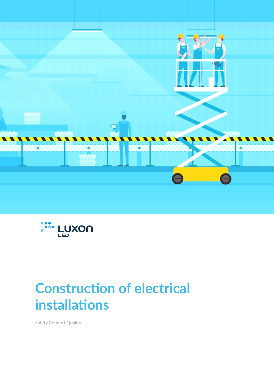



# **Construction of electrical installations**

Safety.Comfort.Quality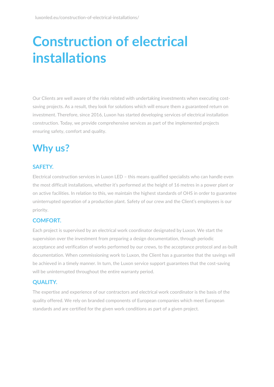# **Construction of electrical installations**

Our Clients are well aware of the risks related with undertaking investments when executing costsaving projects. As a result, they look for solutions which will ensure them a guaranteed return on investment. Therefore, since 2016, Luxon has started developing services of electrical installation construction. Today, we provide comprehensive services as part of the implemented projects ensuring safety, comfort and quality.

### **Why us?**

#### **SAFETY.**

Electrical construction services in Luxon LED – this means qualified specialists who can handle even the most difficult installations, whether it's performed at the height of 16 metres in a power plant or on active facilities. In relation to this, we maintain the highest standards of OHS in order to guarantee uninterrupted operation of a production plant. Safety of our crew and the Client's employees is our priority.

#### **COMFORT.**

Each project is supervised by an electrical work coordinator designated by Luxon. We start the supervision over the investment from preparing a design documentation, through periodic acceptance and verification of works performed by our crews, to the acceptance protocol and as-built documentation. When commissioning work to Luxon, the Client has a guarantee that the savings will be achieved in a timely manner. In turn, the Luxon service support guarantees that the cost-saving will be uninterrupted throughout the entire warranty period.

#### **QUALITY.**

The expertise and experience of our contractors and electrical work coordinator is the basis of the quality offered. We rely on branded components of European companies which meet European standards and are certified for the given work conditions as part of a given project.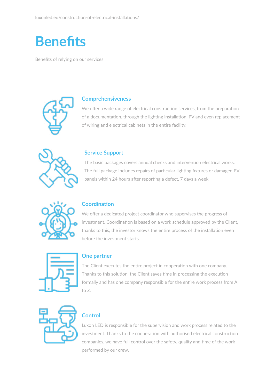### **Benefits**

Benefits of relying on our services



#### **Comprehensiveness**

We offer a wide range of electrical construction services, from the preparation of a documentation, through the lighting installation, PV and even replacement of wiring and electrical cabinets in the entire facility.



#### **Service Support**

The basic packages covers annual checks and intervention electrical works. The full package includes repairs of particular lighting fixtures or damaged PV panels within 24 hours after reporting a defect, 7 days a week



#### **Coordination**

We offer a dedicated project coordinator who supervises the progress of investment. Coordination is based on a work schedule approved by the Client, thanks to this, the investor knows the entire process of the installation even before the investment starts.



#### **One partner**

The Client executes the entire project in cooperation with one company. Thanks to this solution, the Client saves time in processing the execution formally and has one company responsible for the entire work process from A to Z.



#### **Control**

Luxon LED is responsible for the supervision and work process related to the investment. Thanks to the cooperation with authorised electrical construction companies, we have full control over the safety, quality and time of the work performed by our crew.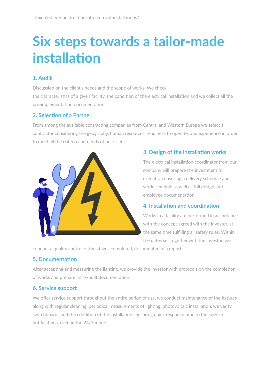# **Six steps towards a tailor-made installation**

#### **1. Audit**

Discussion on the client's needs and the scope of works. We check the characteristics of a given facility, the condition of the electrical installation and we collect all the pre-implementation documentation.

#### **2. Selection of a Partner**

From among the available contracting companies from Central and Western Europe we select a contractor considering the geography, human resources, readiness to operate, and experience in order to meet all the criteria and needs of our Client.



#### **3. Design of the installation works**

The electrical installation coordinator from our company will prepare the investment for execution ensuring a delivery schedule and work schedule as well as full design and employee documentation.

#### **4. Installation and coordination**

Works in a facility are performed in accordance with the concept agreed with the investor, at the same time fulfilling all safety rules. Within the dates set together with the investor, we

conduct a quality control of the stages completed, documented in a report.

#### **5. Documentation**

After accepting and measuring the lighting, we provide the investor with protocols on the completion of works and prepare an as-built documentation.

#### **6. Service support**

We offer service support throughout the entire period of use, we conduct maintenance of the fixtures along with regular cleaning, periodical measurements of lighting, photovoltaic installation, we verify switchboards and the condition of the installations ensuring quick response time to the service notifications, even in the 24/7 mode.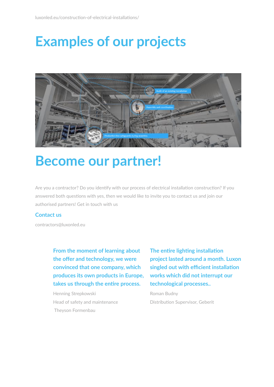### **Examples of our projects**



### **Become our partner!**

Are you a contractor? Do you identify with our process of electrical installation construction? If you answered both questions with yes, then we would like to invite you to contact us and join our authorised partners! Get in touch with us

#### **Contact us**

[contractors@luxonled.eu](mailto:contractors%40luxonled.eu?subject=)

**From the moment of learning about the offer and technology, we were convinced that one company, which produces its own products in Europe, takes us through the entire process.**

Henning Strepkowski Head of safety and maintenance Theyson Formenbau

**The entire lighting installation project lasted around a month. Luxon singled out with efficient installation works which did not interrupt our technological processes..**

Roman Budny Distribution Supervisor, Geberit